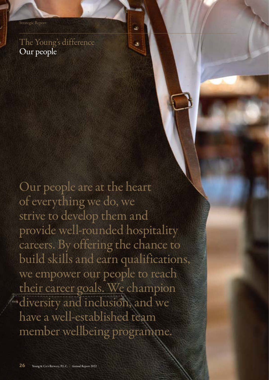### The Young's difference Our people

Our people are at the heart of everything we do, we strive to develop them and provide well-rounded hospitality careers. By offering the chance to build skills and earn qualifications, we empower our people to reach their career goals. We champion diversity and inclusion, and we have a well-established team member wellbeing programme.

ä

×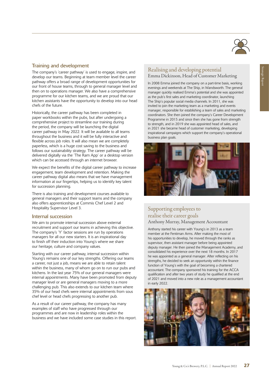

### Training and development

The company's 'career pathway' is used to engage, inspire, and develop our teams. Beginning at team member level the career pathway offers a broad range of development opportunities for our front of house teams, through to general manager level and then on to operations manager. We also have a comprehensive programme for our kitchen teams, and we are proud that our kitchen assistants have the opportunity to develop into our head chefs of the future.

Historically, the career pathway has been completed in paper workbooks within the pubs, but after undergoing a comprehensive project to streamline our training during the period, the company will be launching the digital career pathway in May 2022. It will be available to all teams throughout the business and it will be fully interactive and flexible across job roles. It will also mean we are completely paperless, which is a huge cost saving to the business and follows our sustainability strategy. The career pathway will be delivered digitally via the 'The Ram App' or a desktop version which can be accessed through an internet browser.

We expect the benefits of the digital career pathway to increase engagement, team development and retention. Making the career pathway digital also means that we have management information at our fingertips, helping us to identify key talent for succession planning.

There is also training and development courses available to general managers and their support teams and the company also offers apprenticeships at Commis Chef Level 2 and Hospitality Supervisor Level 3.

#### Internal succession

We aim to promote internal succession above external recruitment and support our teams in achieving this objective. The company's 'Y' factor sessions are run by operations managers for all our new starters. It is an inspirational day to finish off their induction into Young's where we share our heritage, culture and company values.

Starting with our career pathway, internal succession within Young's remains one of our key strengths. Offering our teams a career, not just a job, means we are able to retain talent within the business, many of whom go on to run our pubs and kitchens. In the last year 75% of our general managers were internal appointments. Many have been promoted from deputy manager level or are general managers moving to a more challenging pub. This also extends to our kitchen team where 35% of our head chefs were internal appointments from sous chef level or head chefs progressing to another pub.

As a result of our career pathway, the company has many examples of staff who have progressed through our programmes and are now in leadership roles within the business and we have included some case studies in this report.

### Realising and developing potential Emma Dickinson, Head of Customer Marketing

In 2008 Emma joined the company on a part-time basis, working evenings and weekends at The Ship, in Wandsworth. The general manager quickly realised Emma's potential and she was appointed as the pub's first sales and marketing coordinator, launching The Ship's popular social media channels. In 2011, she was invited to join the marketing team as a marketing and events manager, responsible for establishing a team of sales and marketing coordinators. She then joined the company's Career Development Programme in 2015 and since then she has gone from strength to strength, and in 2019 she was appointed head of sales, and in 2021 she became head of customer marketing, developing inspirational campaigns which support the company's operational business plan goals.



### Supporting employees to realise their career goals Anthony Murray, Management Accountant

Anthony started his career with Young's in 2013 as a team member at the Fentiman Arms. After making the most of his opportunities to develop, he moved through the ranks as supervisor, then assistant manager before being appointed deputy manager. He then joined the Management Academy, and consolidated his experience over the next 18 months. In 2017 he was appointed as a general manager. After reflecting on his strengths, he decided to seek an opportunity within the finance function of Young's with the goal of becoming a chartered accountant. The company sponsored his training for the ACCA qualification and after two years of study he qualified at the end of 2021 and moved into a new role as a management accountant in early 2022.

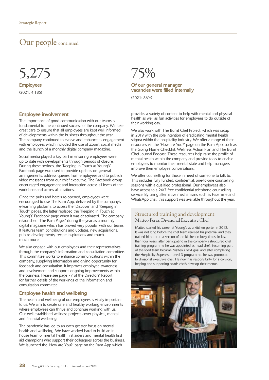### Our people continued

## 5,275

Employees (2021: 4,185)

#### Employee involvement

The importance of good communication with our teams is fundamental to the continued success of the company. We take great care to ensure that all employees are kept well informed of developments within the business throughout the year. The company continued to evolve and enhance its engagement with employees which included the use of Zoom, social media and the launch of a monthly digital company magazine.

Social media played a key part in ensuring employees were up to date with developments through periods of closure. During these periods, the 'Keeping in Touch at Young's' Facebook page was used to provide updates on general arrangements, address queries from employees and to publish video messages from our chief executive. The Facebook group encouraged engagement and interaction across all levels of the workforce and across all locations.

Once the pubs and hotels re-opened, employees were encouraged to use The Ram App, delivered by the company's e-learning platform, to access the 'Discover' and 'Keeping in Touch' pages, the latter replaced the 'Keeping in Touch at Young's' Facebook page when it was deactivated. The company relaunched 'The Ram Pages' during the year as a monthly digital magazine which has proved very popular with our teams. It features team contributions and updates, new acquisitions, pub re-developments, recipe inspirations and much, much more.

We also engage with our employees and their representatives through the company's information and consultation committee. This committee works to enhance communications within the company, supplying information and giving opportunity for feedback and consultation. It improves employee awareness and involvement and supports ongoing improvements within the business. Please see page 77 of the Directors' Report for further details of the workings of the information and consultation committee.

#### Employee health and wellbeing

The health and wellbeing of our employees is vitally important to us. We aim to create safe and healthy working environments where employees can thrive and continue working with us. Our well established wellness projects cover physical, mental and financial wellbeing.

The pandemic has led to an even greater focus on mental health and wellbeing. We have worked hard to build an inhouse team of mental health first aiders and mental health first aid champions who support their colleagues across the business. We launched the 'How are You?' page on the Ram App which

### 75%

### Of our general manager vacancies were filled internally

(2021: 86%)

provides a variety of content to help with mental and physical health as well as fun activities for employees to do outside of their working day.

We also work with The Burnt Chef Project, which was setup in 2019 with the sole intention of eradicating mental health stigma within the hospitality industry. We offer a range of their resources via the 'How are You?' page on the Ram App, such as the Going Home Checklist, Wellness Action Plan and The Burnt Chef Journal Podcast. These resources help raise the profile of mental health within the company and provide tools to enable employees to monitor their mental state and help managers improve their employee conversations.

We offer counselling for those in need of someone to talk to. This includes fully funded, confidential, one-to-one counselling sessions with a qualified professional. Our employees also have access to a 24/7 free confidential telephone counselling service. By using alternative mechanisms such as FaceTime and WhatsApp chat, this support was available throughout the year.

### Structured training and development Matteo Perra, Divisional Executive Chef

Matteo started his career at Young's as a kitchen porter in 2012. It was not long before the chef team realised his potential and they trained him to run a section of the kitchen in busy times. In less than four years, after participating in the company's structured chef training programme he was appointed as head chef. Becoming part of the food team became Matteo's next goal and after completing the Hospitality Supervisor Level 3 programme, he was promoted to divisional executive chef. He now has responsibility for a division, helping and supporting heads chefs develop their menus.